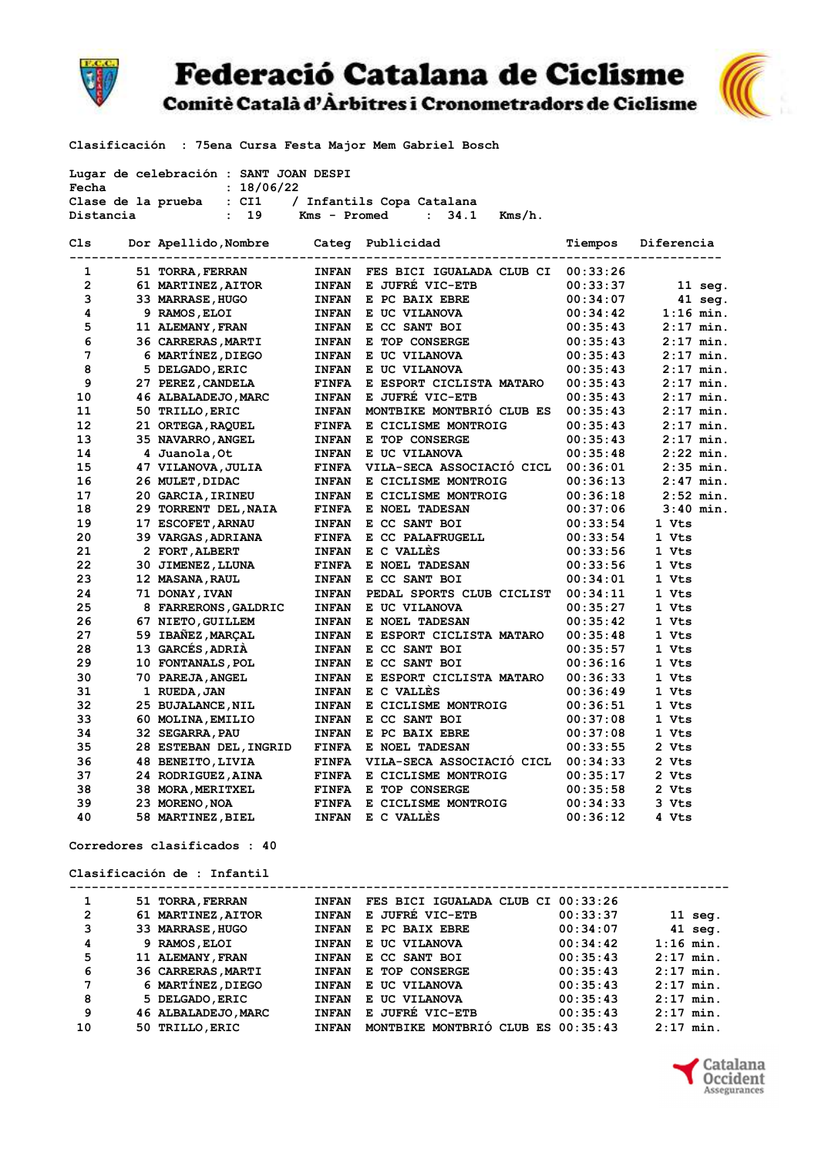

## Federació Catalana de Ciclisme Comitè Català d'Àrbitres i Cronometradors de Ciclisme



Clasificación : 75ena Cursa Festa Major Mem Gabriel Bosch

| Fecha                        |  | Lugar de celebración : SANT JOAN DESPI<br>18/06/22 |              |                                    |          |                   |
|------------------------------|--|----------------------------------------------------|--------------|------------------------------------|----------|-------------------|
|                              |  | Clase de la prueba : CI1                           |              | / Infantils Copa Catalana          |          |                   |
| Distancia                    |  | : 19                                               | Kms - Promed | : 34.1<br>$Kms/h$ .                |          |                   |
|                              |  |                                                    |              |                                    |          |                   |
| Cls                          |  | Dor Apellido, Nombre Categ Publicidad              |              |                                    | Tiempos  | Diferencia        |
| 1                            |  | 51 TORRA, FERRAN                                   | <b>INFAN</b> | FES BICI IGUALADA CLUB CI          | 00:33:26 |                   |
| $\mathbf{2}$                 |  | 61 MARTINEZ, AITOR                                 | <b>INFAN</b> | E JUFRE VIC-ETB                    | 00:33:37 | $11 \text{ seg.}$ |
| 3                            |  | 33 MARRASE, HUGO                                   | <b>INFAN</b> | E PC BAIX EBRE                     | 00:34:07 | 41 seg.           |
| 4                            |  | 9 RAMOS, ELOI                                      | <b>INFAN</b> | E UC VILANOVA                      | 00:34:42 | $1:16$ min.       |
| 5                            |  | <b>11 ALEMANY, FRAN</b>                            | <b>INFAN</b> | E CC SANT BOI                      | 00:35:43 | $2:17$ min.       |
| 6                            |  | <b>36 CARRERAS, MARTI</b>                          | <b>INFAN</b> | E TOP CONSERGE                     | 00:35:43 | $2:17$ min.       |
| 7                            |  | 6 MARTINEZ, DIEGO                                  | <b>INFAN</b> | E UC VILANOVA                      | 00:35:43 | $2:17$ min.       |
| 8                            |  | 5 DELGADO, ERIC                                    | <b>INFAN</b> | E UC VILANOVA                      | 00:35:43 | $2:17$ min.       |
| 9                            |  | 27 PEREZ, CANDELA                                  | <b>FINFA</b> | E ESPORT CICLISTA MATARO           | 00:35:43 | $2:17$ min.       |
| 10                           |  | 46 ALBALADEJO, MARC                                | <b>INFAN</b> | E JUFRE VIC-ETB                    | 00:35:43 | $2:17$ min.       |
| 11                           |  | 50 TRILLO, ERIC                                    | <b>INFAN</b> | MONTBIKE MONTBRIO CLUB ES          | 00:35:43 | $2:17$ min.       |
| 12                           |  | 21 ORTEGA, RAQUEL                                  | <b>FINFA</b> | E CICLISME MONTROIG                | 00:35:43 | $2:17$ min.       |
| 13                           |  | <b>35 NAVARRO, ANGEL</b>                           | <b>INFAN</b> | E TOP CONSERGE                     | 00:35:43 | $2:17$ min.       |
| 14                           |  | 4 Juanola, Ot                                      | <b>INFAN</b> | E UC VILANOVA                      | 00:35:48 | $2:22$ min.       |
| 15                           |  | 47 VILANOVA, JULIA                                 | <b>FINFA</b> | VILA-SECA ASSOCIACIÓ CICL          | 00:36:01 | $2:35$ min.       |
| 16                           |  | 26 MULET, DIDAC                                    | <b>INFAN</b> | E CICLISME MONTROIG                | 00:36:13 | $2:47$ min.       |
| 17                           |  | 20 GARCIA, IRINEU                                  | <b>INFAN</b> | E CICLISME MONTROIG                | 00:36:18 | $2:52$ min.       |
| 18                           |  | 29 TORRENT DEL, NAIA                               | <b>FINFA</b> | E NOEL TADESAN                     | 00:37:06 | $3:40$ min.       |
| 19                           |  | 17 ESCOFET, ARNAU                                  | <b>INFAN</b> | E CC SANT BOI                      | 00:33:54 | 1 Vts             |
| 20                           |  | <b>39 VARGAS, ADRIANA</b>                          | <b>FINFA</b> | E CC PALAFRUGELL                   | 00:33:54 | 1 Vts             |
| 21                           |  | 2 FORT, ALBERT                                     | <b>INFAN</b> | E C VALLES                         | 00:33:56 | 1 Vts             |
| 22                           |  | 30 JIMENEZ, LLUNA                                  | <b>FINFA</b> | E NOEL TADESAN                     | 00:33:56 | 1 Vts             |
| 23                           |  | <b>12 MASANA, RAUL</b>                             | <b>INFAN</b> | E CC SANT BOI                      | 00:34:01 | 1 Vts             |
| 24                           |  | 71 DONAY, IVAN                                     | <b>INFAN</b> | PEDAL SPORTS CLUB CICLIST          | 00:34:11 | 1 Vts             |
| 25                           |  | 8 FARRERONS, GALDRIC                               | <b>INFAN</b> | E UC VILANOVA                      | 00:35:27 | 1 Vts             |
| 26                           |  | 67 NIETO, GUILLEM                                  | <b>INFAN</b> | E NOEL TADESAN                     | 00:35:42 | 1 Vts             |
| 27                           |  | 59 IBAÑEZ, MARCAL                                  | <b>INFAN</b> | E ESPORT CICLISTA MATARO           | 00:35:48 | 1 Vts             |
| 28                           |  | 13 GARCÉS, ADRIÀ                                   | <b>INFAN</b> | E CC SANT BOI                      | 00:35:57 | 1 Vts             |
| 29                           |  | 10 FONTANALS, POL                                  | <b>INFAN</b> | E CC SANT BOI                      | 00:36:16 | 1 Vts             |
| 30                           |  | 70 PAREJA, ANGEL                                   | <b>INFAN</b> | E ESPORT CICLISTA MATARO           | 00:36:33 | 1 Vts             |
| 31                           |  | 1 RUEDA, JAN                                       | <b>INFAN</b> | E C VALLES                         | 00:36:49 | 1 Vts             |
| 32                           |  | 25 BUJALANCE, NIL                                  | <b>INFAN</b> | E CICLISME MONTROIG                | 00:36:51 | 1 Vts             |
| 33                           |  | 60 MOLINA, EMILIO                                  | <b>INFAN</b> | E CC SANT BOI                      | 00:37:08 | 1 Vts             |
| 34                           |  | 32 SEGARRA, PAU                                    | <b>INFAN</b> | E PC BAIX EBRE                     | 00:37:08 | 1 Vts             |
| 35                           |  | 28 ESTEBAN DEL, INGRID                             |              | FINFA E NOEL TADESAN               | 00:33:55 | 2 Vts             |
| 36                           |  | 48 BENEITO, LIVIA                                  | <b>FINFA</b> | VILA-SECA ASSOCIACIÓ CICL          | 00:34:33 | 2 Vts             |
| 37                           |  | 24 RODRIGUEZ, AINA                                 | <b>FINFA</b> | E CICLISME MONTROIG                | 00:35:17 | 2 Vts             |
| 38                           |  | <b>38 MORA, MERITXEL</b>                           |              | FINFA E TOP CONSERGE               | 00:35:58 | 2 Vts             |
| 39                           |  | 23 MORENO, NOA                                     | <b>FINFA</b> | E CICLISME MONTROIG                | 00:34:33 | 3 Vts             |
| 40                           |  | 58 MARTINEZ, BIEL                                  | <b>INFAN</b> | E C VALLES                         | 00:36:12 | 4 Vts             |
| Corredores clasificados : 40 |  |                                                    |              |                                    |          |                   |
|                              |  | Clasificación de : Infantil                        |              |                                    |          |                   |
| 1                            |  | 51 TORRA, FERRAN                                   | <b>INFAN</b> | FES BICI IGUALADA CLUB CI 00:33:26 |          |                   |
| 2                            |  | 61 MARTINEZ, AITOR                                 | <b>INFAN</b> | E JUFRE VIC-ETB                    | 00:33:37 | 11 seg.           |
| 3                            |  | 33 MARRASE, HUGO                                   |              | INFAN E PC BAIX EBRE               | 00:34:07 | 41 seg.           |
| 4                            |  | 9 RAMOS, ELOI                                      | <b>INFAN</b> | E UC VILANOVA                      | 00:34:42 | $1:16$ min.       |
| 5                            |  | 11 ALEMANY, FRAN                                   | <b>INFAN</b> | E CC SANT BOI                      | 00:35:43 | $2:17$ min.       |
| 6                            |  | 36 CARRERAS, MARTI                                 | <b>INFAN</b> | E TOP CONSERGE                     | 00:35:43 | $2:17$ min.       |
| 7                            |  | 6 MARTÍNEZ, DIEGO                                  |              | INFAN E UC VILANOVA                | 00:35:43 | $2:17$ min.       |

7 6 MARTÍNEZ, DIEGO INFAN E UC VILANOVA  $100:35:43$  2:17 min.<br>8 5 DELGADO, ERIC INFAN E UC VILANOVA 00:35:43 2:17 min. 8 5 DELGADO,ERIC INFAN E UC VILANOVA 00:35:43 2:17 min. 9 46 ALBALADEJO, MARC INFAN E JUFRÉ VIC-ETB 00:35:43 2:17 min.<br>10 50 TRILLO, ERIC INFAN MONTBIKE MONTBRIÓ CLUB ES 00:35:43 2:17 min.

INFAN MONTBIKE MONTBRIÓ CLUB ES 00:35:43

Catalana Occident Assegurances